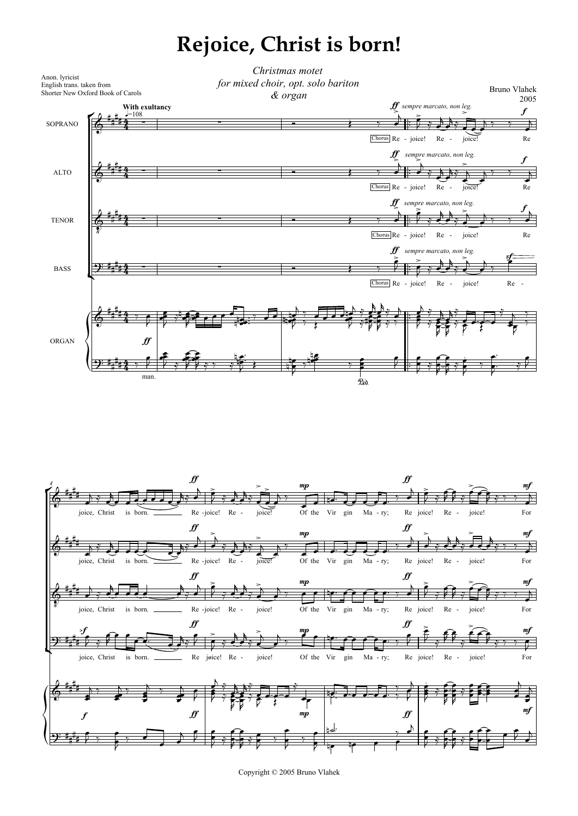## **Rejoice, Christ is born!**





Copyright © 2005 Bruno Vlahek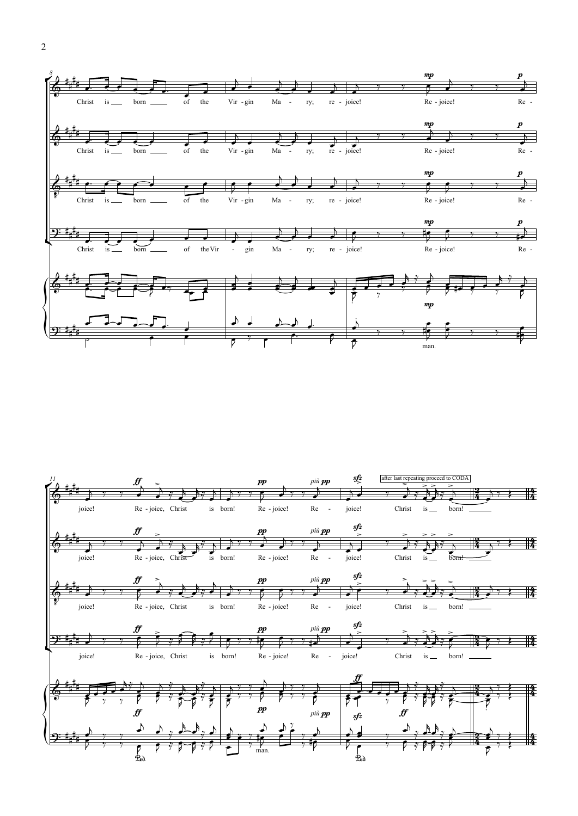



2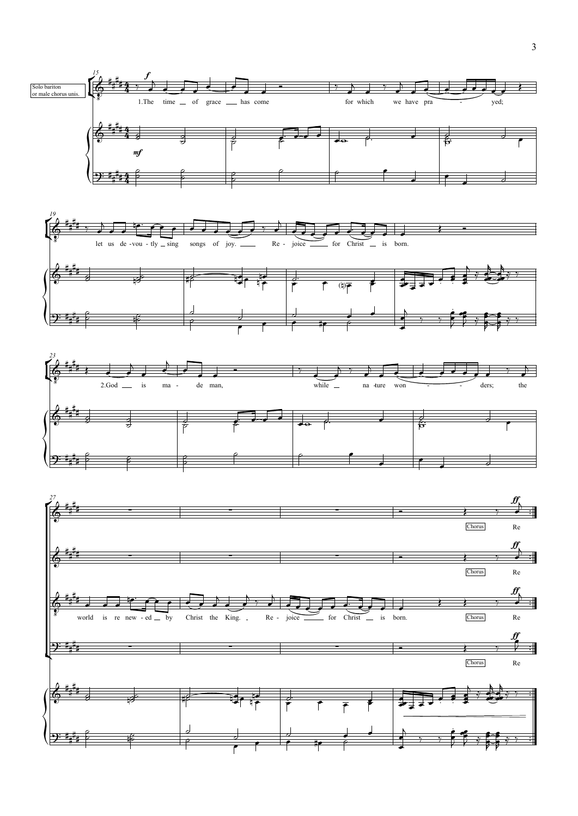





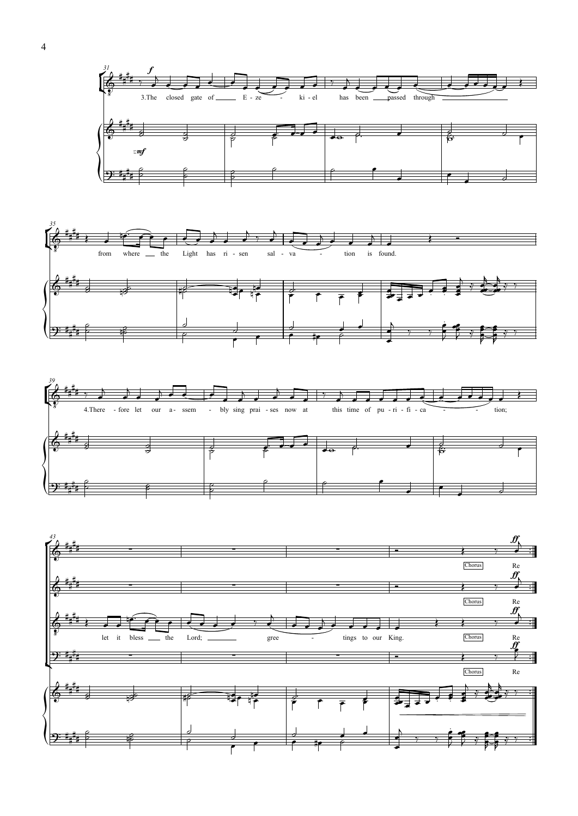